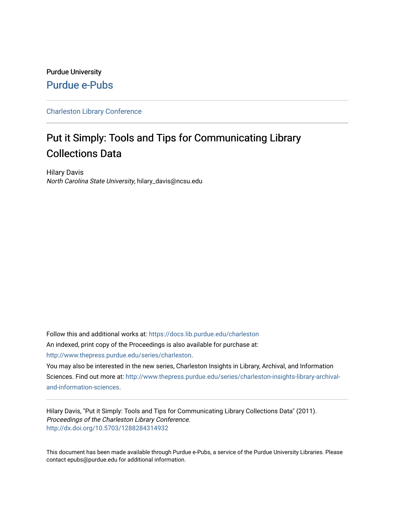# Purdue University [Purdue e-Pubs](https://docs.lib.purdue.edu/)

# [Charleston Library Conference](https://docs.lib.purdue.edu/charleston)

# Put it Simply: Tools and Tips for Communicating Library Collections Data

Hilary Davis North Carolina State University, hilary\_davis@ncsu.edu

Follow this and additional works at: [https://docs.lib.purdue.edu/charleston](https://docs.lib.purdue.edu/charleston?utm_source=docs.lib.purdue.edu%2Fcharleston%2F2011%2FBudget%2F9&utm_medium=PDF&utm_campaign=PDFCoverPages)  An indexed, print copy of the Proceedings is also available for purchase at: [http://www.thepress.purdue.edu/series/charleston.](http://www.thepress.purdue.edu/series/charleston)

You may also be interested in the new series, Charleston Insights in Library, Archival, and Information Sciences. Find out more at: [http://www.thepress.purdue.edu/series/charleston-insights-library-archival](http://www.thepress.purdue.edu/series/charleston-insights-library-archival-and-information-sciences)[and-information-sciences](http://www.thepress.purdue.edu/series/charleston-insights-library-archival-and-information-sciences).

Hilary Davis, "Put it Simply: Tools and Tips for Communicating Library Collections Data" (2011). Proceedings of the Charleston Library Conference. <http://dx.doi.org/10.5703/1288284314932>

This document has been made available through Purdue e-Pubs, a service of the Purdue University Libraries. Please contact epubs@purdue.edu for additional information.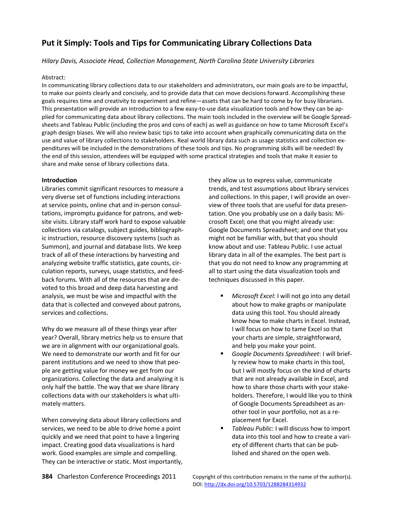# **Put it Simply: Tools and Tips for Communicating Library Collections Data**

*Hilary Davis, Associate Head, Collection Management, North Carolina State University Libraries*

## Abstract:

In communicating library collections data to our stakeholders and administrators, our main goals are to be impactful, to make our points clearly and concisely, and to provide data that can move decisions forward. Accomplishing these goals requires time and creativity to experiment and refine—assets that can be hard to come by for busy librarians. This presentation will provide an introduction to a few easy-to-use data visualization tools and how they can be applied for communicating data about library collections. The main tools included in the overview will be Google Spreadsheets and Tableau Public (including the pros and cons of each) as well as guidance on how to tame Microsoft Excel's graph design biases. We will also review basic tips to take into account when graphically communicating data on the use and value of library collections to stakeholders. Real world library data such as usage statistics and collection expenditures will be included in the demonstrations of these tools and tips. No programming skills will be needed! By the end of this session, attendees will be equipped with some practical strategies and tools that make it easier to share and make sense of library collections data.

# **Introduction**

Libraries commit significant resources to measure a very diverse set of functions including interactions at service points, online chat and in-person consultations, impromptu guidance for patrons, and website visits. Library staff work hard to expose valuable collections via catalogs, subject guides, bibliographic instruction, resource discovery systems (such as Summon), and journal and database lists. We keep track of all of these interactions by harvesting and analyzing website traffic statistics, gate counts, circulation reports, surveys, usage statistics, and feedback forums. With all of the resources that are devoted to this broad and deep data harvesting and analysis, we must be wise and impactful with the data that is collected and conveyed about patrons, services and collections.

Why do we measure all of these things year after year? Overall, library metrics help us to ensure that we are in alignment with our organizational goals. We need to demonstrate our worth and fit for our parent institutions and we need to show that people are getting value for money we get from our organizations. Collecting the data and analyzing it is only half the battle. The way that we share library collections data with our stakeholders is what ultimately matters.

When conveying data about library collections and services, we need to be able to drive home a point quickly and we need that point to have a lingering impact. Creating good data visualizations is hard work. Good examples are simple and compelling. They can be interactive or static. Most importantly, they allow us to express value, communicate trends, and test assumptions about library services and collections. In this paper, I will provide an overview of three tools that are useful for data presentation. One you probably use on a daily basis: Microsoft Excel; one that you might already use: Google Documents Spreadsheet; and one that you might not be familiar with, but that you should know about and use: Tableau Public. I use actual library data in all of the examples. The best part is that you do not need to know any programming at all to start using the data visualization tools and techniques discussed in this paper.

- *Microsoft Excel*: I will not go into any detail about how to make graphs or manipulate data using this tool. You should already know how to make charts in Excel. Instead, I will focus on how to tame Excel so that your charts are simple, straightforward, and help you make your point.
- *Google Documents Spreadsheet*: I will briefly review how to make charts in this tool, but I will mostly focus on the kind of charts that are not already available in Excel, and how to share those charts with your stakeholders. Therefore, I would like you to think of Google Documents Spreadsheet as another tool in your portfolio, not as a replacement for Excel.
- *Tableau Public*: I will discuss how to import data into this tool and how to create a variety of different charts that can be published and shared on the open web.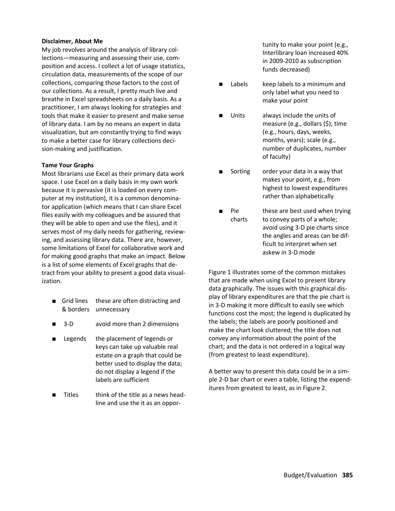#### **Disclaimer, About Me**

My job revolves around the analysis of library collections—measuring and assessing their use, composition and access. I collect a lot of usage statistics, circulation data, measurements of the scope of our collections, comparing those factors to the cost of our collections. As a result, I pretty much live and breathe in Excel spreadsheets on a daily basis. As a practitioner, I am always looking for strategies and tools that make it easier to present and make sense of library data. I am by no means an expert in data visualization, but am constantly trying to find ways to make a better case for library collections decision-making and justification.

#### **Tame Your Graphs**

Most librarians use Excel as their primary data work space. I use Excel on a daily basis in my own work because it is pervasive (it is loaded on every computer at my institution), it is a common denominator application (which means that I can share Excel files easily with my colleagues and be assured that they will be able to open and use the files), and it serves most of my daily needs for gathering, reviewing, and assessing library data. There are, however, some limitations of Excel for collaborative work and for making good graphs that make an impact. Below is a list of some elements of Excel graphs that detract from your ability to present a good data visualization.

- Grid lines & borders unnecessary these are often distracting and
- 3-D avoid more than 2 dimensions
- Legends the placement of legends or keys can take up valuable real estate on a graph that could be better used to display the data; do not display a legend if the labels are sufficient
- Titles think of the title as a news headline and use the it as an oppor-

tunity to make your point (e.g., Interlibrary loan increased 40% in 2009-2010 as subscription funds decreased)

- Labels keep labels to a minimum and only label what you need to make your point
- Units always include the units of measure (e.g., dollars (\$); time (e.g., hours, days, weeks, months, years); scale (e.g., number of duplicates, number of faculty)
- Sorting order your data in a way that makes your point, e.g., from highest to lowest expenditures rather than alphabetically
- Pie charts these are best used when trying to convey parts of a whole; avoid using 3-D pie charts since the angles and areas can be difficult to interpret when set askew in 3-D mode

Figure 1 illustrates some of the common mistakes that are made when using Excel to present library data graphically. The issues with this graphical display of library expenditures are that the pie chart is in 3-D making it more difficult to easily see which functions cost the most; the legend is duplicated by the labels; the labels are poorly positioned and make the chart look cluttered; the title does not convey any information about the point of the chart; and the data is not ordered in a logical way (from greatest to least expenditure).

A better way to present this data could be in a simple 2-D bar chart or even a table, listing the expenditures from greatest to least, as in Figure 2.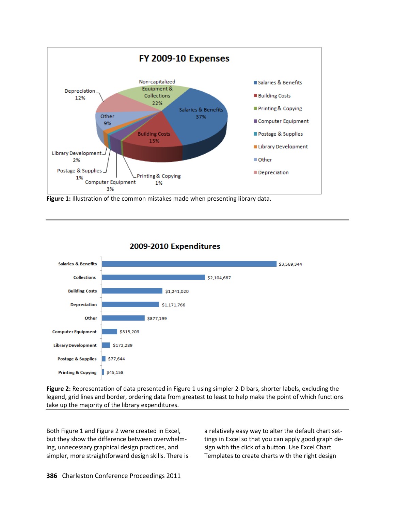

**Figure 1:** Illustration of the common mistakes made when presenting library data.



2009-2010 Expenditures

**Figure 2:** Representation of data presented in Figure 1 using simpler 2-D bars, shorter labels, excluding the legend, grid lines and border, ordering data from greatest to least to help make the point of which functions take up the majority of the library expenditures.

Both Figure 1 and Figure 2 were created in Excel, but they show the difference between overwhelming, unnecessary graphical design practices, and simpler, more straightforward design skills. There is a relatively easy way to alter the default chart settings in Excel so that you can apply good graph design with the click of a button. Use Excel Chart Templates to create charts with the right design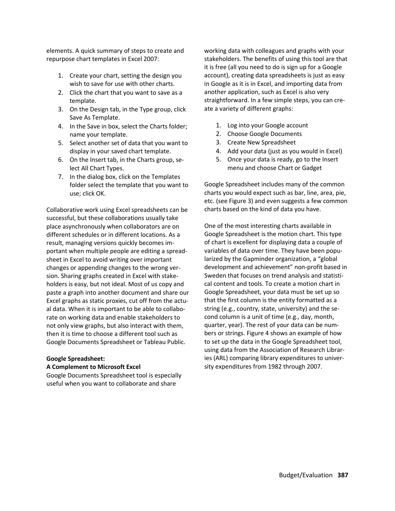elements. A quick summary of steps to create and repurpose chart templates in Excel 2007:

- 1. Create your chart, setting the design you wish to save for use with other charts.
- 2. Click the chart that you want to save as a template.
- 3. On the Design tab, in the Type group, click Save As Template.
- 4. In the Save in box, select the Charts folder; name your template.
- 5. Select another set of data that you want to display in your saved chart template.
- 6. On the Insert tab, in the Charts group, select All Chart Types.
- 7. In the dialog box, click on the Templates folder select the template that you want to use; click OK.

Collaborative work using Excel spreadsheets can be successful, but these collaborations usually take place asynchronously when collaborators are on different schedules or in different locations. As a result, managing versions quickly becomes important when multiple people are editing a spreadsheet in Excel to avoid writing over important changes or appending changes to the wrong version. Sharing graphs created in Excel with stakeholders is easy, but not ideal. Most of us copy and paste a graph into another document and share our Excel graphs as static proxies, cut off from the actual data. When it is important to be able to collaborate on working data and enable stakeholders to not only view graphs, but also interact with them, then it is time to choose a different tool such as Google Documents Spreadsheet or Tableau Public.

# **Google Spreadsheet:**

## **A Complement to Microsoft Excel**

Google Documents Spreadsheet tool is especially useful when you want to collaborate and share

working data with colleagues and graphs with your stakeholders. The benefits of using this tool are that it is free (all you need to do is sign up for a Google account), creating data spreadsheets is just as easy in Google as it is in Excel, and importing data from another application, such as Excel is also very straightforward. In a few simple steps, you can create a variety of different graphs:

- 1. Log into your Google account
- 2. Choose Google Documents
- 3. Create New Spreadsheet
- 4. Add your data (just as you would in Excel)
- 5. Once your data is ready, go to the Insert menu and choose Chart or Gadget

Google Spreadsheet includes many of the common charts you would expect such as bar, line, area, pie, etc. (see Figure 3) and even suggests a few common charts based on the kind of data you have.

One of the most interesting charts available in Google Spreadsheet is the motion chart. This type of chart is excellent for displaying data a couple of variables of data over time. They have been popularized by the Gapminder organization, a "global development and achievement" non-profit based in Sweden that focuses on trend analysis and statistical content and tools. To create a motion chart in Google Spreadsheet, your data must be set up so that the first column is the entity formatted as a string (e.g., country, state, university) and the second column is a unit of time (e.g., day, month, quarter, year). The rest of your data can be numbers or strings. Figure 4 shows an example of how to set up the data in the Google Spreadsheet tool, using data from the Association of Research Libraries (ARL) comparing library expenditures to university expenditures from 1982 through 2007.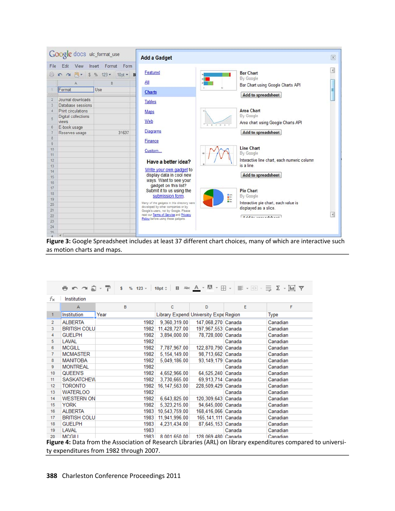|                                                               | Google docs ulc_format_use                                                                                   |                                                                       | <b>Add a Gadget</b>                                                                                                                                                                                                                                                               |                                                                                                                                                                          |         |  |
|---------------------------------------------------------------|--------------------------------------------------------------------------------------------------------------|-----------------------------------------------------------------------|-----------------------------------------------------------------------------------------------------------------------------------------------------------------------------------------------------------------------------------------------------------------------------------|--------------------------------------------------------------------------------------------------------------------------------------------------------------------------|---------|--|
| File                                                          | Edit<br>View<br>Ä<br>Format                                                                                  | Insert Format Form<br>□ m m 点 v S % 123 v 10pt v B<br>B<br><b>Use</b> | Featured<br>All                                                                                                                                                                                                                                                                   | <b>Bar Chart</b><br>By Google<br>Bar Chart using Google Charts API                                                                                                       | ×,<br>Ξ |  |
| $\overline{2}$<br>3<br>$\overline{5}$<br>6<br>7               | Journal downloads<br>Database sessions<br>Print circulations<br>Digital collections<br>views<br>E-book usage | 31637                                                                 | <b>Charts</b><br><b>Tables</b><br>Maps<br>Web<br>0 0 1<br><b>Diagrams</b>                                                                                                                                                                                                         | Add to spreadsheet<br><b>Area Chart</b><br>By Google<br>Area chart using Google Charts API<br>Add to spreadsheet                                                         |         |  |
| 8<br>$\overline{9}$<br>10<br>11<br>12<br>13<br>14<br>15<br>16 | Reserves usage                                                                                               |                                                                       | <b>Finance</b><br>Custom<br>Have a better idea?<br>Write your own gadget to<br>display data in cool new<br>ways. Want to see your                                                                                                                                                 | <b>Line Chart</b><br>By Google<br>Interactive line chart, each numeric column<br>is a line.<br><b>Add to spreadsheet</b>                                                 |         |  |
| 17<br>18<br>19<br>20<br>21<br>22<br>23<br>24<br>25            | $\epsilon$                                                                                                   |                                                                       | gadget on this list?<br>Submit it to us using the<br>submission form.<br>Many of the gadgets in this directory were<br>developed by other companies or by<br>Google's users, not by Google. Please<br>read our Terms of Service and Privacy<br>Policy before using these gadgets. | <b>Pie Chart</b><br>■ 500<br>■ 500<br>■ 500<br>By Google<br>Interactive pie chart, each value is<br>displayed as a slice.<br>$A = 1$ and $A = 1$ and $A = 1$ and $A = 1$ | ョ       |  |

Figure 3: Google Spreadsheet includes at least 37 different chart choices, many of which are interactive such as motion charts and maps.

| fx.            | Institution         |      |                  |                                       |        |          |
|----------------|---------------------|------|------------------|---------------------------------------|--------|----------|
|                | А                   | B    | c                | D                                     | E      | F        |
| 1              | Institution         | Year |                  | Library Expend University Expe Region |        | Type     |
| $\overline{2}$ | <b>ALBERTA</b>      | 1982 | 9,360,319.00     | 147,068,270 Canada                    |        | Canadian |
| 3              | <b>BRITISH COLU</b> | 1982 | 11,428,727.00    | 197,967,553 Canada                    |        | Canadian |
| 4              | <b>GUELPH</b>       | 1982 | 3.894.000.00     | 78.728.000 Canada                     |        | Canadian |
| 5              | LAVAL               | 1982 |                  |                                       | Canada | Canadian |
| 6              | <b>MCGILL</b>       | 1982 | 7,787,967.00     | 122,870,790 Canada                    |        | Canadian |
| 7              | <b>MCMASTER</b>     | 1982 | 5,154,149.00     | 98,713,662 Canada                     |        | Canadian |
| 8              | <b>MANITOBA</b>     | 1982 | 5.049.186.00     | 93.149.179 Canada                     |        | Canadian |
| 9              | <b>MONTREAL</b>     | 1982 |                  |                                       | Canada | Canadian |
| 10             | QUEEN'S             | 1982 | 4,652,966.00     | 64,525,240 Canada                     |        | Canadian |
| 11             | <b>SASKATCHEW</b>   | 1982 | 3,730,665.00     | 69,913,714 Canada                     |        | Canadian |
| 12             | <b>TORONTO</b>      | 1982 | 16, 147, 563, 00 | 228,509,429 Canada                    |        | Canadian |
| 13             | <b>WATERLOO</b>     | 1982 |                  |                                       | Canada | Canadian |
| 14             | <b>WESTERN ON</b>   | 1982 | 6,643,825.00     | 120,309,643 Canada                    |        | Canadian |
| 15             | <b>YORK</b>         | 1982 | 5,323,215.00     | 94,645,000 Canada                     |        | Canadian |
| 16             | <b>ALBERTA</b>      | 1983 | 10,543,759.00    | 168,416,066 Canada                    |        | Canadian |
| 17             | <b>BRITISH COLU</b> | 1983 | 11,941,996.00    | 165,141,111 Canada                    |        | Canadian |
| 18             | <b>GUELPH</b>       | 1983 | 4.231.434.00     | 87.645.153 Canada                     |        | Canadian |
| 19             | <b>LAVAL</b>        | 1983 |                  |                                       | Canada | Canadian |
| 20             | MCGILL              | 1983 | 8 001 650 00     | 128 069 480 Canada                    |        | Canadian |

**Figure 4:** Data from the Association of Research Libraries (ARL) on library expenditures compared to university expenditures from 1982 through 2007.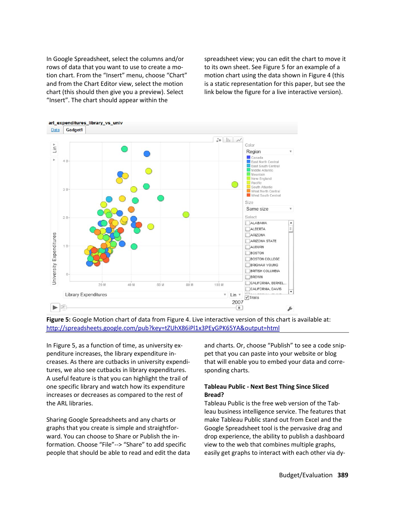In Google Spreadsheet, select the columns and/or rows of data that you want to use to create a motion chart. From the "Insert" menu, choose "Chart" and from the Chart Editor view, select the motion chart (this should then give you a preview). Select "Insert". The chart should appear within the

spreadsheet view; you can edit the chart to move it to its own sheet. See Figure 5 for an example of a motion chart using the data shown in Figure 4 (this is a static representation for this paper, but see the link below the figure for a live interactive version).



**Figure 5:** Google Motion chart of data from Figure 4. Live interactive version of this chart is available at: <http://spreadsheets.google.com/pub?key=tZUhX86iPl1x3PEyGPK65YA&output=html>

In Figure 5, as a function of time, as university expenditure increases, the library expenditure increases. As there are cutbacks in university expenditures, we also see cutbacks in library expenditures. A useful feature is that you can highlight the trail of one specific library and watch how its expenditure increases or decreases as compared to the rest of the ARL libraries.

Sharing Google Spreadsheets and any charts or graphs that you create is simple and straightforward. You can choose to Share or Publish the information. Choose "File"--> "Share" to add specific people that should be able to read and edit the data and charts. Or, choose "Publish" to see a code snippet that you can paste into your website or blog that will enable you to embed your data and corresponding charts.

## **Tableau Public - Next Best Thing Since Sliced Bread?**

Tableau Public is the free web version of the Tableau business intelligence service. The features that make Tableau Public stand out from Excel and the Google Spreadsheet tool is the pervasive drag and drop experience, the ability to publish a dashboard view to the web that combines multiple graphs, easily get graphs to interact with each other via dy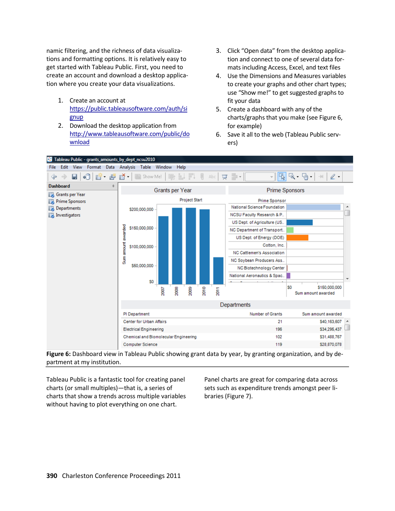namic filtering, and the richness of data visualizations and formatting options. It is relatively easy to get started with Tableau Public. First, you need to create an account and download a desktop application where you create your data visualizations.

- 1. Create an account at [https://public.tableausoftware.com/auth/si](https://public.tableausoftware.com/auth/signup) [gnup](https://public.tableausoftware.com/auth/signup)
- 2. Download the desktop application from [http://www.tableausoftware.com/public/do](http://www.tableausoftware.com/public/download) [wnload](http://www.tableausoftware.com/public/download)
- 3. Click "Open data" from the desktop application and connect to one of several data formats including Access, Excel, and text files
- 4. Use the Dimensions and Measures variables to create your graphs and other chart types; use "Show me!" to get suggested graphs to fit your data
- 5. Create a dashboard with any of the charts/graphs that you make (see Figure 6, for example)
- 6. Save it all to the web (Tableau Public servers)



**Figure 6:** Dashboard view in Tableau Public showing grant data by year, by granting organization, and by department at my institution.

Tableau Public is a fantastic tool for creating panel charts (or small multiples)—that is, a series of charts that show a trends across multiple variables without having to plot everything on one chart.

Panel charts are great for comparing data across sets such as expenditure trends amongst peer libraries (Figure 7).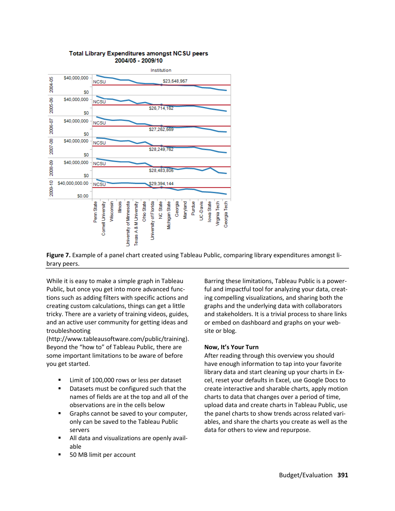

#### **Total Library Expenditures amongst NCSU peers** 2004/05 - 2009/10

**Figure 7.** Example of a panel chart created using Tableau Public, comparing library expenditures amongst library peers.

While it is easy to make a simple graph in Tableau Public, but once you get into more advanced functions such as adding filters with specific actions and creating custom calculations, things can get a little tricky. There are a variety of training videos, guides, and an active user community for getting ideas and troubleshooting

(http://www.tableausoftware.com/public/training). Beyond the "how to" of Tableau Public, there are some important limitations to be aware of before you get started.

- Limit of 100,000 rows or less per dataset
- Datasets must be configured such that the names of fields are at the top and all of the observations are in the cells below
- Graphs cannot be saved to your computer, only can be saved to the Tableau Public servers
- All data and visualizations are openly available
- 50 MB limit per account

Barring these limitations, Tableau Public is a powerful and impactful tool for analyzing your data, creating compelling visualizations, and sharing both the graphs and the underlying data with collaborators and stakeholders. It is a trivial process to share links or embed on dashboard and graphs on your website or blog.

# **Now, It's Your Turn**

After reading through this overview you should have enough information to tap into your favorite library data and start cleaning up your charts in Excel, reset your defaults in Excel, use Google Docs to create interactive and sharable charts, apply motion charts to data that changes over a period of time, upload data and create charts in Tableau Public, use the panel charts to show trends across related variables, and share the charts you create as well as the data for others to view and repurpose.